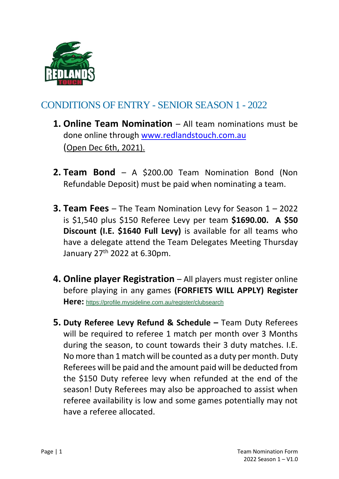

# CONDITIONS OF ENTRY - SENIOR SEASON 1 - 2022

- **1. Online Team Nomination**  All team nominations must be done online through [www.redlandstouch.c](http://www.redlandstouch./)om.au (Open Dec 6th, 2021).
- **2. Team Bond**  A \$200.00 Team Nomination Bond (Non Refundable Deposit) must be paid when nominating a team.
- **3. Team Fees**  The Team Nomination Levy for Season 1 2022 is \$1,540 plus \$150 Referee Levy per team **\$1690.00. A \$50 Discount (I.E. \$1640 Full Levy)** is available for all teams who have a delegate attend the Team Delegates Meeting Thursday January 27th 2022 at 6.30pm.
- **4. Online player Registration** All players must register online before playing in any games **(FORFIETS WILL APPLY) Register Here:** <https://profile.mysideline.com.au/register/clubsearch>
- **5. Duty Referee Levy Refund & Schedule –** Team Duty Referees will be required to referee 1 match per month over 3 Months during the season, to count towards their 3 duty matches. I.E. No more than 1 match will be counted as a duty per month. Duty Referees will be paid and the amount paid will be deducted from the \$150 Duty referee levy when refunded at the end of the season! Duty Referees may also be approached to assist when referee availability is low and some games potentially may not have a referee allocated.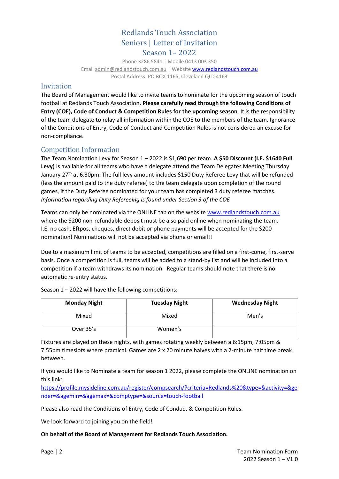## Redlands Touch Association Seniors | Letter of Invitation Season 1– 2022

Phone 3286 5841 | Mobile 0413 003 350 Email [admin@redlandstouch.com.au](mailto:admin@redlandstouch.com.au) | Websit[e www.redlandstouch.c](http://www.redlandstouch./)om.au Postal Address: PO BOX 1165, Cleveland QLD 4163

## Invitation

The Board of Management would like to invite teams to nominate for the upcoming season of touch football at Redlands Touch Association**. Please carefully read through the following Conditions of Entry (COE), Code of Conduct & Competition Rules for the upcoming season**. It is the responsibility of the team delegate to relay all information within the COE to the members of the team. Ignorance of the Conditions of Entry, Code of Conduct and Competition Rules is not considered an excuse for non-compliance.

## Competition Information

The Team Nomination Levy for Season 1 – 2022 is \$1,690 per team. **A \$50 Discount (I.E. \$1640 Full Levy)** is available for all teams who have a delegate attend the Team Delegates Meeting Thursday January 27<sup>th</sup> at 6.30pm. The full levy amount includes \$150 Duty Referee Levy that will be refunded (less the amount paid to the duty referee) to the team delegate upon completion of the round games, if the Duty Referee nominated for your team has completed 3 duty referee matches. *Information regarding Duty Refereeing is found under Section 3 of the COE*

Teams can only be nominated via the ONLINE tab on the website [www.redlandstouch.c](http://www.redlandstouch./)om.au where the \$200 non-refundable deposit must be also paid online when nominating the team. I.E. no cash, Eftpos, cheques, direct debit or phone payments will be accepted for the \$200 nomination! Nominations will not be accepted via phone or email!!

Due to a maximum limit of teams to be accepted, competitions are filled on a first-come, first-serve basis. Once a competition is full, teams will be added to a stand-by list and will be included into a competition if a team withdraws its nomination. Regular teams should note that there is no automatic re-entry status.

| <b>Monday Night</b> | <b>Tuesday Night</b> | <b>Wednesday Night</b> |
|---------------------|----------------------|------------------------|
| Mixed               | Mixed                | Men's                  |
| Over 35's           | Women's              |                        |

Season 1 – 2022 will have the following competitions:

Fixtures are played on these nights, with games rotating weekly between a 6:15pm, 7:05pm & 7:55pm timeslots where practical. Games are 2 x 20 minute halves with a 2-minute half time break between.

If you would like to Nominate a team for season 1 2022, please complete the ONLINE nomination on this link:

[https://profile.mysideline.com.au/register/compsearch/?criteria=Redlands%20&type=&activity=&ge](https://na01.safelinks.protection.outlook.com/?url=https%3A%2F%2Fprofile.mysideline.com.au%2Fregister%2Fcompsearch%2F%3Fcriteria%3DRedlands%2520%26type%3D%26activity%3D%26gender%3D%26agemin%3D%26agemax%3D%26comptype%3D%26source%3Dtouch-football&data=04%7C01%7C%7C902396c510be4ee3610a08d9b628b74d%7C84df9e7fe9f640afb435aaaaaaaaaaaa%7C1%7C0%7C637741108256468945%7CUnknown%7CTWFpbGZsb3d8eyJWIjoiMC4wLjAwMDAiLCJQIjoiV2luMzIiLCJBTiI6Ik1haWwiLCJXVCI6Mn0%3D%7C3000&sdata=xVG6pPI6DF%2BNjC3LSH6YBC%2BODIod2XQqw6tC8GbEy6w%3D&reserved=0) [nder=&agemin=&agemax=&comptype=&source=touch-football](https://na01.safelinks.protection.outlook.com/?url=https%3A%2F%2Fprofile.mysideline.com.au%2Fregister%2Fcompsearch%2F%3Fcriteria%3DRedlands%2520%26type%3D%26activity%3D%26gender%3D%26agemin%3D%26agemax%3D%26comptype%3D%26source%3Dtouch-football&data=04%7C01%7C%7C902396c510be4ee3610a08d9b628b74d%7C84df9e7fe9f640afb435aaaaaaaaaaaa%7C1%7C0%7C637741108256468945%7CUnknown%7CTWFpbGZsb3d8eyJWIjoiMC4wLjAwMDAiLCJQIjoiV2luMzIiLCJBTiI6Ik1haWwiLCJXVCI6Mn0%3D%7C3000&sdata=xVG6pPI6DF%2BNjC3LSH6YBC%2BODIod2XQqw6tC8GbEy6w%3D&reserved=0)

Please also read the Conditions of Entry, Code of Conduct & Competition Rules.

We look forward to joining you on the field!

#### **On behalf of the Board of Management for Redlands Touch Association.**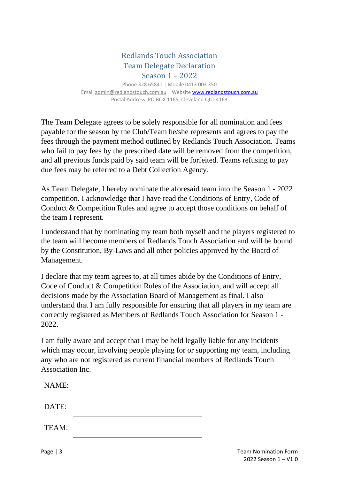## Redlands Touch Association Team Delegate Declaration Season 1 – 2022

Phone 328 65841 | Mobile 0413 003 350 Email [admin@redlandstouch.com.au](mailto:admin@redlandstouch.com.au) | Websit[e www.redlandstouch.c](http://www.redlandstouch./)om.au Postal Address: PO BOX 1165, Cleveland QLD 4163

The Team Delegate agrees to be solely responsible for all nomination and fees payable for the season by the Club/Team he/she represents and agrees to pay the fees through the payment method outlined by Redlands Touch Association. Teams who fail to pay fees by the prescribed date will be removed from the competition, and all previous funds paid by said team will be forfeited. Teams refusing to pay due fees may be referred to a Debt Collection Agency.

As Team Delegate, I hereby nominate the aforesaid team into the Season 1 - 2022 competition. I acknowledge that I have read the Conditions of Entry, Code of Conduct & Competition Rules and agree to accept those conditions on behalf of the team I represent.

I understand that by nominating my team both myself and the players registered to the team will become members of Redlands Touch Association and will be bound by the Constitution, By-Laws and all other policies approved by the Board of Management.

I declare that my team agrees to, at all times abide by the Conditions of Entry, Code of Conduct & Competition Rules of the Association, and will accept all decisions made by the Association Board of Management as final. I also understand that I am fully responsible for ensuring that all players in my team are correctly registered as Members of Redlands Touch Association for Season 1 - 2022.

I am fully aware and accept that I may be held legally liable for any incidents which may occur, involving people playing for or supporting my team, including any who are not registered as current financial members of Redlands Touch Association Inc.

| NAME: |  |  |
|-------|--|--|
| DATE: |  |  |
| TEAM: |  |  |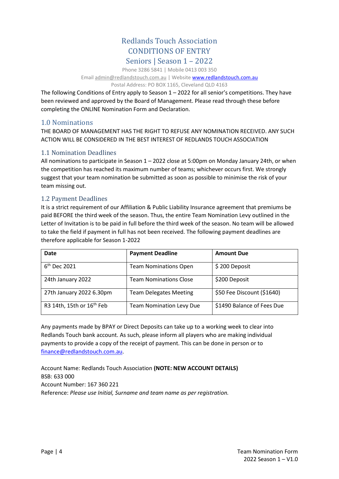## Redlands Touch Association CONDITIONS OF ENTRY Seniors | Season 1 – 2022

Phone 3286 5841 | Mobile 0413 003 350

Email [admin@redlandstouch.com.au](mailto:admin@redlandstouch.com.au) | Websit[e www.redlandstouch.c](http://www.redlandstouch./)om.au

Postal Address: PO BOX 1165, Cleveland QLD 4163

The following Conditions of Entry apply to Season 1 – 2022 for all senior's competitions. They have been reviewed and approved by the Board of Management. Please read through these before completing the ONLINE Nomination Form and Declaration.

## 1.0 Nominations

THE BOARD OF MANAGEMENT HAS THE RIGHT TO REFUSE ANY NOMINATION RECEIVED. ANY SUCH ACTION WILL BE CONSIDERED IN THE BEST INTEREST OF REDLANDS TOUCH ASSOCIATION

## 1.1 Nomination Deadlines

All nominations to participate in Season 1 – 2022 close at 5:00pm on Monday January 24th, or when the competition has reached its maximum number of teams; whichever occurs first. We strongly suggest that your team nomination be submitted as soon as possible to minimise the risk of your team missing out.

## 1.2 Payment Deadlines

It is a strict requirement of our Affiliation & Public Liability Insurance agreement that premiums be paid BEFORE the third week of the season. Thus, the entire Team Nomination Levy outlined in the Letter of Invitation is to be paid in full before the third week of the season. No team will be allowed to take the field if payment in full has not been received. The following payment deadlines are therefore applicable for Season 1-2022

| Date                                  | <b>Payment Deadline</b>         | <b>Amount Due</b>          |
|---------------------------------------|---------------------------------|----------------------------|
| $6th$ Dec 2021                        | <b>Team Nominations Open</b>    | \$200 Deposit              |
| 24th January 2022                     | <b>Team Nominations Close</b>   | \$200 Deposit              |
| 27th January 2022 6.30pm              | <b>Team Delegates Meeting</b>   | \$50 Fee Discount (\$1640) |
| R3 14th, 15th or 16 <sup>th</sup> Feb | <b>Team Nomination Levy Due</b> | \$1490 Balance of Fees Due |

Any payments made by BPAY or Direct Deposits can take up to a working week to clear into Redlands Touch bank account. As such, please inform all players who are making individual payments to provide a copy of the receipt of payment. This can be done in person or to [finance@redlandstouch.com.au.](mailto:finance@redlandstouch.com.au)

Account Name: Redlands Touch Association **(NOTE: NEW ACCOUNT DETAILS)** BSB: 633 000 Account Number: 167 360 221 Reference: *Please use Initial, Surname and team name as per registration.*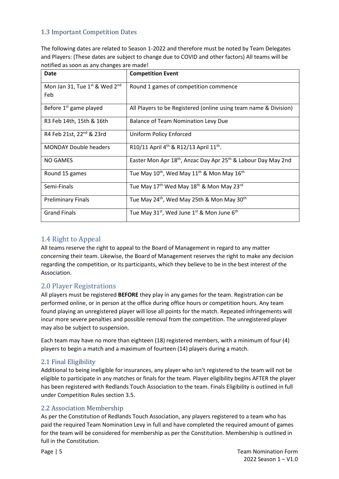## 1.3 Important Competition Dates

The following dates are related to Season 1-2022 and therefore must be noted by Team Delegates and Players: (These dates are subject to change due to COVID and other factors) All teams will be notified as soon as any changes are made!

| Date                                    | <b>Competition Event</b>                                                              |
|-----------------------------------------|---------------------------------------------------------------------------------------|
| Mon Jan 31, Tue $1^{st}$ & Wed $2^{nd}$ | Round 1 games of competition commence                                                 |
| Feb                                     |                                                                                       |
| Before 1 <sup>st</sup> game played      | All Players to be Registered (online using team name & Division)                      |
| R3 Feb 14th, 15th & 16th                | <b>Balance of Team Nomination Levy Due</b>                                            |
| R4 Feb 21st, 22 <sup>nd</sup> & 23rd    | Uniform Policy Enforced                                                               |
| <b>MONDAY Double headers</b>            | R10/11 April 4 <sup>th</sup> & R12/13 April 11 <sup>th</sup> .                        |
| NO GAMES                                | Easter Mon Apr 18 <sup>th</sup> , Anzac Day Apr 25 <sup>th</sup> & Labour Day May 2nd |
| Round 15 games                          | Tue May $10^{th}$ , Wed May $11^{th}$ & Mon May $16^{th}$                             |
| Semi-Finals                             | Tue May 17 <sup>th</sup> Wed May 18 <sup>th</sup> & Mon May 23 <sup>rd</sup>          |
| <b>Preliminary Finals</b>               | Tue May 24 <sup>th</sup> , Wed May 25th & Mon May 30 <sup>th</sup>                    |
| <b>Grand Finals</b>                     | Tue May $31^{st}$ , Wed June $1^{st}$ & Mon June $6^{th}$                             |

## 1.4 Right to Appeal

All teams reserve the right to appeal to the Board of Management in regard to any matter concerning their team. Likewise, the Board of Management reserves the right to make any decision regarding the competition, or its participants, which they believe to be in the best interest of the Association.

## 2.0 Player Registrations

All players must be registered **BEFORE** they play in any games for the team. Registration can be performed online, or in person at the office during office hours or competition hours. Any team found playing an unregistered player will lose all points for the match. Repeated infringements will incur more severe penalties and possible removal from the competition. The unregistered player may also be subject to suspension.

Each team may have no more than eighteen (18) registered members, with a minimum of four (4) players to begin a match and a maximum of fourteen (14) players during a match.

## 2.1 Final Eligibility

Additional to being ineligible for insurances, any player who isn't registered to the team will not be eligible to participate in any matches or finals for the team. Player eligibility begins AFTER the player has been registered with Redlands Touch Association to the team. Finals Eligibility is outlined in full under Competition Rules section 3.5.

#### 2.2 Association Membership

As per the Constitution of Redlands Touch Association, any players registered to a team who has paid the required Team Nomination Levy in full and have completed the required amount of games for the team will be considered for membership as per the Constitution. Membership is outlined in full in the Constitution.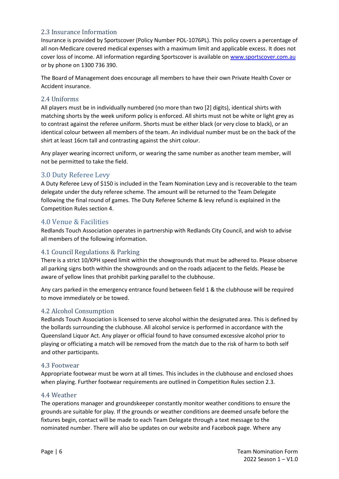### 2.3 Insurance Information

Insurance is provided by Sportscover (Policy Number POL-1076PL). This policy covers a percentage of all non-Medicare covered medical expenses with a maximum limit and applicable excess. It does not cover loss of income. All information regarding Sportscover is available o[n www.sportscover.com.au](http://www.sportscover.com.au/) or by phone on 1300 736 390.

The Board of Management does encourage all members to have their own Private Health Cover or Accident insurance.

#### 2.4 Uniforms

All players must be in individually numbered (no more than two [2] digits), identical shirts with matching shorts by the week uniform policy is enforced. All shirts must not be white or light grey as to contrast against the referee uniform. Shorts must be either black (or very close to black), or an identical colour between all members of the team. An individual number must be on the back of the shirt at least 16cm tall and contrasting against the shirt colour.

Any player wearing incorrect uniform, or wearing the same number as another team member, will not be permitted to take the field.

## 3.0 Duty Referee Levy

A Duty Referee Levy of \$150 is included in the Team Nomination Levy and is recoverable to the team delegate under the duty referee scheme. The amount will be returned to the Team Delegate following the final round of games. The Duty Referee Scheme & levy refund is explained in the Competition Rules section 4.

## 4.0 Venue & Facilities

Redlands Touch Association operates in partnership with Redlands City Council, and wish to advise all members of the following information.

#### 4.1 Council Regulations & Parking

There is a strict 10/KPH speed limit within the showgrounds that must be adhered to. Please observe all parking signs both within the showgrounds and on the roads adjacent to the fields. Please be aware of yellow lines that prohibit parking parallel to the clubhouse.

Any cars parked in the emergency entrance found between field 1 & the clubhouse will be required to move immediately or be towed.

#### 4.2 Alcohol Consumption

Redlands Touch Association is licensed to serve alcohol within the designated area. This is defined by the bollards surrounding the clubhouse. All alcohol service is performed in accordance with the Queensland Liquor Act. Any player or official found to have consumed excessive alcohol prior to playing or officiating a match will be removed from the match due to the risk of harm to both self and other participants.

#### 4.3 Footwear

Appropriate footwear must be worn at all times. This includes in the clubhouse and enclosed shoes when playing. Further footwear requirements are outlined in Competition Rules section 2.3.

#### 4.4 Weather

The operations manager and groundskeeper constantly monitor weather conditions to ensure the grounds are suitable for play. If the grounds or weather conditions are deemed unsafe before the fixtures begin, contact will be made to each Team Delegate through a text message to the nominated number. There will also be updates on our website and Facebook page. Where any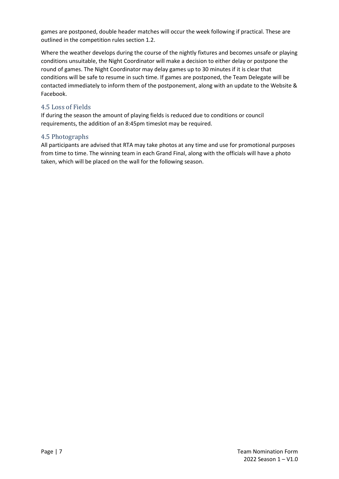games are postponed, double header matches will occur the week following if practical. These are outlined in the competition rules section 1.2.

Where the weather develops during the course of the nightly fixtures and becomes unsafe or playing conditions unsuitable, the Night Coordinator will make a decision to either delay or postpone the round of games. The Night Coordinator may delay games up to 30 minutes if it is clear that conditions will be safe to resume in such time. If games are postponed, the Team Delegate will be contacted immediately to inform them of the postponement, along with an update to the Website & Facebook.

### 4.5 Loss of Fields

If during the season the amount of playing fields is reduced due to conditions or council requirements, the addition of an 8:45pm timeslot may be required.

### 4.5 Photographs

All participants are advised that RTA may take photos at any time and use for promotional purposes from time to time. The winning team in each Grand Final, along with the officials will have a photo taken, which will be placed on the wall for the following season.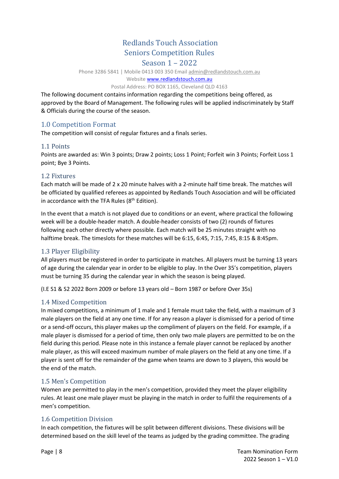## Redlands Touch Association Seniors Competition Rules

### Season 1 – 2022

Phone 3286 5841 | Mobile 0413 003 350 Email [admin@redlandstouch.com.au](mailto:admin@redlandstouch.com.au) 

#### Website [www.redlandstouch.c](http://www.redlandstouch.net/)om.au

#### Postal Address: PO BOX 1165, Cleveland QLD 4163

The following document contains information regarding the competitions being offered, as approved by the Board of Management. The following rules will be applied indiscriminately by Staff & Officials during the course of the season.

## 1.0 Competition Format

The competition will consist of regular fixtures and a finals series.

### 1.1 Points

Points are awarded as: Win 3 points; Draw 2 points; Loss 1 Point; Forfeit win 3 Points; Forfeit Loss 1 point; Bye 3 Points.

#### 1.2 Fixtures

Each match will be made of 2 x 20 minute halves with a 2-minute half time break. The matches will be officiated by qualified referees as appointed by Redlands Touch Association and will be officiated in accordance with the TFA Rules (8<sup>th</sup> Edition).

In the event that a match is not played due to conditions or an event, where practical the following week will be a double-header match. A double-header consists of two (2) rounds of fixtures following each other directly where possible. Each match will be 25 minutes straight with no halftime break. The timeslots for these matches will be 6:15, 6:45, 7:15, 7:45, 8:15 & 8:45pm.

## 1.3 Player Eligibility

All players must be registered in order to participate in matches. All players must be turning 13 years of age during the calendar year in order to be eligible to play. In the Over 35's competition, players must be turning 35 during the calendar year in which the season is being played.

(I.E S1 & S2 2022 Born 2009 or before 13 years old – Born 1987 or before Over 35s)

#### 1.4 Mixed Competition

In mixed competitions, a minimum of 1 male and 1 female must take the field, with a maximum of 3 male players on the field at any one time. If for any reason a player is dismissed for a period of time or a send-off occurs, this player makes up the compliment of players on the field. For example, if a male player is dismissed for a period of time, then only two male players are permitted to be on the field during this period. Please note in this instance a female player cannot be replaced by another male player, as this will exceed maximum number of male players on the field at any one time. If a player is sent off for the remainder of the game when teams are down to 3 players, this would be the end of the match.

#### 1.5 Men's Competition

Women are permitted to play in the men's competition, provided they meet the player eligibility rules. At least one male player must be playing in the match in order to fulfil the requirements of a men's competition.

## 1.6 Competition Division

In each competition, the fixtures will be split between different divisions. These divisions will be determined based on the skill level of the teams as judged by the grading committee. The grading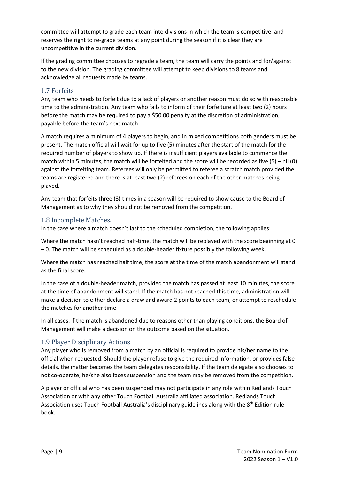committee will attempt to grade each team into divisions in which the team is competitive, and reserves the right to re-grade teams at any point during the season if it is clear they are uncompetitive in the current division.

If the grading committee chooses to regrade a team, the team will carry the points and for/against to the new division. The grading committee will attempt to keep divisions to 8 teams and acknowledge all requests made by teams.

### 1.7 Forfeits

Any team who needs to forfeit due to a lack of players or another reason must do so with reasonable time to the administration. Any team who fails to inform of their forfeiture at least two (2) hours before the match may be required to pay a \$50.00 penalty at the discretion of administration, payable before the team's next match.

A match requires a minimum of 4 players to begin, and in mixed competitions both genders must be present. The match official will wait for up to five (5) minutes after the start of the match for the required number of players to show up. If there is insufficient players available to commence the match within 5 minutes, the match will be forfeited and the score will be recorded as five (5) – nil (0) against the forfeiting team. Referees will only be permitted to referee a scratch match provided the teams are registered and there is at least two (2) referees on each of the other matches being played.

Any team that forfeits three (3) times in a season will be required to show cause to the Board of Management as to why they should not be removed from the competition.

#### 1.8 Incomplete Matches.

In the case where a match doesn't last to the scheduled completion, the following applies:

Where the match hasn't reached half-time, the match will be replayed with the score beginning at 0 – 0. The match will be scheduled as a double-header fixture possibly the following week.

Where the match has reached half time, the score at the time of the match abandonment will stand as the final score.

In the case of a double-header match, provided the match has passed at least 10 minutes, the score at the time of abandonment will stand. If the match has not reached this time, administration will make a decision to either declare a draw and award 2 points to each team, or attempt to reschedule the matches for another time.

In all cases, if the match is abandoned due to reasons other than playing conditions, the Board of Management will make a decision on the outcome based on the situation.

#### 1.9 Player Disciplinary Actions

Any player who is removed from a match by an official is required to provide his/her name to the official when requested. Should the player refuse to give the required information, or provides false details, the matter becomes the team delegates responsibility. If the team delegate also chooses to not co-operate, he/she also faces suspension and the team may be removed from the competition.

A player or official who has been suspended may not participate in any role within Redlands Touch Association or with any other Touch Football Australia affiliated association. Redlands Touch Association uses Touch Football Australia's disciplinary guidelines along with the 8<sup>th</sup> Edition rule book.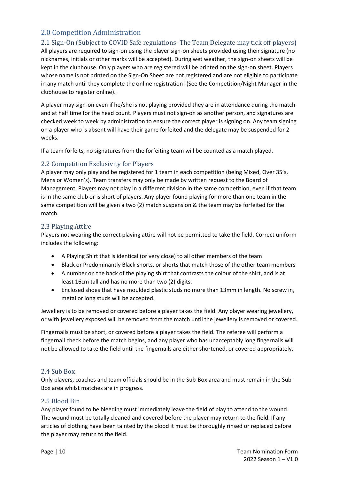## 2.0 Competition Administration

## 2.1 Sign-On (Subject to COVID Safe regulations–The Team Delegate may tick off players)

All players are required to sign-on using the player sign-on sheets provided using their signature (no nicknames, initials or other marks will be accepted). During wet weather, the sign-on sheets will be kept in the clubhouse. Only players who are registered will be printed on the sign-on sheet. Players whose name is not printed on the Sign-On Sheet are not registered and are not eligible to participate in any match until they complete the online registration! (See the Competition/Night Manager in the clubhouse to register online).

A player may sign-on even if he/she is not playing provided they are in attendance during the match and at half time for the head count. Players must not sign-on as another person, and signatures are checked week to week by administration to ensure the correct player is signing on. Any team signing on a player who is absent will have their game forfeited and the delegate may be suspended for 2 weeks.

If a team forfeits, no signatures from the forfeiting team will be counted as a match played.

## 2.2 Competition Exclusivity for Players

A player may only play and be registered for 1 team in each competition (being Mixed, Over 35's, Mens or Women's). Team transfers may only be made by written request to the Board of Management. Players may not play in a different division in the same competition, even if that team is in the same club or is short of players. Any player found playing for more than one team in the same competition will be given a two (2) match suspension & the team may be forfeited for the match.

### 2.3 Playing Attire

Players not wearing the correct playing attire will not be permitted to take the field. Correct uniform includes the following:

- A Playing Shirt that is identical (or very close) to all other members of the team
- Black or Predominantly Black shorts, or shorts that match those of the other team members
- A number on the back of the playing shirt that contrasts the colour of the shirt, and is at least 16cm tall and has no more than two (2) digits.
- Enclosed shoes that have moulded plastic studs no more than 13mm in length. No screw in, metal or long studs will be accepted.

Jewellery is to be removed or covered before a player takes the field. Any player wearing jewellery, or with jewellery exposed will be removed from the match until the jewellery is removed or covered.

Fingernails must be short, or covered before a player takes the field. The referee will perform a fingernail check before the match begins, and any player who has unacceptably long fingernails will not be allowed to take the field until the fingernails are either shortened, or covered appropriately.

#### 2.4 Sub Box

Only players, coaches and team officials should be in the Sub-Box area and must remain in the Sub-Box area whilst matches are in progress.

## 2.5 Blood Bin

Any player found to be bleeding must immediately leave the field of play to attend to the wound. The wound must be totally cleaned and covered before the player may return to the field. If any articles of clothing have been tainted by the blood it must be thoroughly rinsed or replaced before the player may return to the field.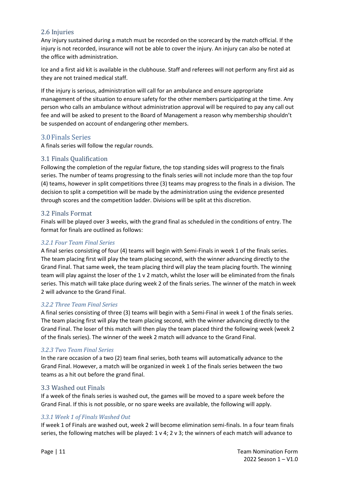#### 2.6 Injuries

Any injury sustained during a match must be recorded on the scorecard by the match official. If the injury is not recorded, insurance will not be able to cover the injury. An injury can also be noted at the office with administration.

Ice and a first aid kit is available in the clubhouse. Staff and referees will not perform any first aid as they are not trained medical staff.

If the injury is serious, administration will call for an ambulance and ensure appropriate management of the situation to ensure safety for the other members participating at the time. Any person who calls an ambulance without administration approval will be required to pay any call out fee and will be asked to present to the Board of Management a reason why membership shouldn't be suspended on account of endangering other members.

### 3.0Finals Series

A finals series will follow the regular rounds.

#### 3.1 Finals Qualification

Following the completion of the regular fixture, the top standing sides will progress to the finals series. The number of teams progressing to the finals series will not include more than the top four (4) teams, however in split competitions three (3) teams may progress to the finals in a division. The decision to split a competition will be made by the administration using the evidence presented through scores and the competition ladder. Divisions will be split at this discretion.

#### 3.2 Finals Format

Finals will be played over 3 weeks, with the grand final as scheduled in the conditions of entry. The format for finals are outlined as follows:

#### *3.2.1 Four Team Final Series*

A final series consisting of four (4) teams will begin with Semi-Finals in week 1 of the finals series. The team placing first will play the team placing second, with the winner advancing directly to the Grand Final. That same week, the team placing third will play the team placing fourth. The winning team will play against the loser of the 1 v 2 match, whilst the loser will be eliminated from the finals series. This match will take place during week 2 of the finals series. The winner of the match in week 2 will advance to the Grand Final.

#### *3.2.2 Three Team Final Series*

A final series consisting of three (3) teams will begin with a Semi-Final in week 1 of the finals series. The team placing first will play the team placing second, with the winner advancing directly to the Grand Final. The loser of this match will then play the team placed third the following week (week 2 of the finals series). The winner of the week 2 match will advance to the Grand Final.

#### *3.2.3 Two Team Final Series*

In the rare occasion of a two (2) team final series, both teams will automatically advance to the Grand Final. However, a match will be organized in week 1 of the finals series between the two teams as a hit out before the grand final.

#### 3.3 Washed out Finals

If a week of the finals series is washed out, the games will be moved to a spare week before the Grand Final. If this is not possible, or no spare weeks are available, the following will apply.

#### *3.3.1 Week 1 of Finals Washed Out*

If week 1 of Finals are washed out, week 2 will become elimination semi-finals. In a four team finals series, the following matches will be played: 1 v 4; 2 v 3; the winners of each match will advance to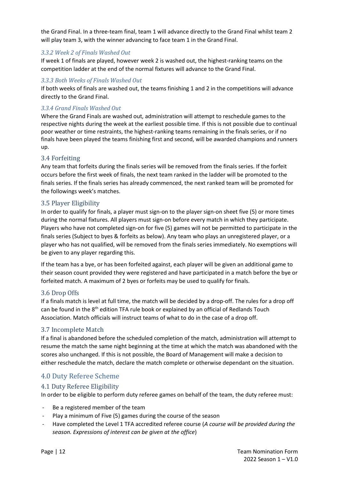the Grand Final. In a three-team final, team 1 will advance directly to the Grand Final whilst team 2 will play team 3, with the winner advancing to face team 1 in the Grand Final.

#### *3.3.2 Week 2 of Finals Washed Out*

If week 1 of finals are played, however week 2 is washed out, the highest-ranking teams on the competition ladder at the end of the normal fixtures will advance to the Grand Final.

#### *3.3.3 Both Weeks of Finals Washed Out*

If both weeks of finals are washed out, the teams finishing 1 and 2 in the competitions will advance directly to the Grand Final.

#### *3.3.4 Grand Finals Washed Out*

Where the Grand Finals are washed out, administration will attempt to reschedule games to the respective nights during the week at the earliest possible time. If this is not possible due to continual poor weather or time restraints, the highest-ranking teams remaining in the finals series, or if no finals have been played the teams finishing first and second, will be awarded champions and runners up.

#### 3.4 Forfeiting

Any team that forfeits during the finals series will be removed from the finals series. If the forfeit occurs before the first week of finals, the next team ranked in the ladder will be promoted to the finals series. If the finals series has already commenced, the next ranked team will be promoted for the followings week's matches.

### 3.5 Player Eligibility

In order to qualify for finals, a player must sign-on to the player sign-on sheet five (5) or more times during the normal fixtures. All players must sign-on before every match in which they participate. Players who have not completed sign-on for five (5) games will not be permitted to participate in the finals series (Subject to byes & forfeits as below). Any team who plays an unregistered player, or a player who has not qualified, will be removed from the finals series immediately. No exemptions will be given to any player regarding this.

If the team has a bye, or has been forfeited against, each player will be given an additional game to their season count provided they were registered and have participated in a match before the bye or forfeited match. A maximum of 2 byes or forfeits may be used to qualify for finals.

#### 3.6 Drop Offs

If a finals match is level at full time, the match will be decided by a drop-off. The rules for a drop off can be found in the 8<sup>th</sup> edition TFA rule book or explained by an official of Redlands Touch Association. Match officials will instruct teams of what to do in the case of a drop off.

#### 3.7 Incomplete Match

If a final is abandoned before the scheduled completion of the match, administration will attempt to resume the match the same night beginning at the time at which the match was abandoned with the scores also unchanged. If this is not possible, the Board of Management will make a decision to either reschedule the match, declare the match complete or otherwise dependant on the situation.

## 4.0 Duty Referee Scheme

## 4.1 Duty Referee Eligibility

In order to be eligible to perform duty referee games on behalf of the team, the duty referee must:

- Be a registered member of the team
- Play a minimum of Five (5) games during the course of the season
- Have completed the Level 1 TFA accredited referee course (*A course will be provided during the season. Expressions of interest can be given at the office*)